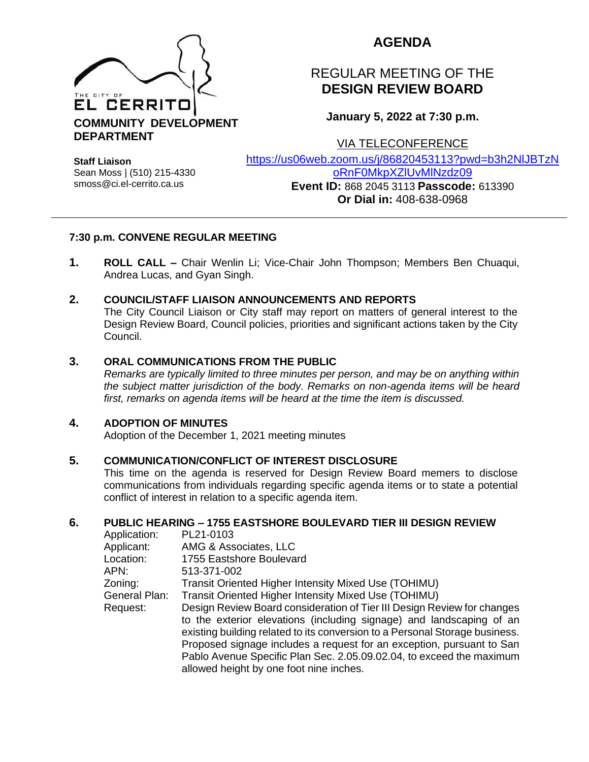

# **AGENDA**

# REGULAR MEETING OF THE **DESIGN REVIEW BOARD**

**January 5, 2022 at 7:30 p.m.**

VIA TELECONFERENCE

**Staff Liaison** Sean Moss | (510) 215-4330 smoss@ci.el-cerrito.ca.us

[https://us06web.zoom.us/j/86820453113?pwd=b3h2NlJBTzN](https://us06web.zoom.us/j/86820453113?pwd=b3h2NlJBTzNoRnF0MkpXZlUvMlNzdz09) [oRnF0MkpXZlUvMlNzdz09](https://us06web.zoom.us/j/86820453113?pwd=b3h2NlJBTzNoRnF0MkpXZlUvMlNzdz09)

**Event ID:** 868 2045 3113 **Passcode:** 613390 **Or Dial in:** 408-638-0968

# **7:30 p.m. CONVENE REGULAR MEETING**

**1. ROLL CALL –** Chair Wenlin Li; Vice-Chair John Thompson; Members Ben Chuaqui, Andrea Lucas, and Gyan Singh.

# **2. COUNCIL/STAFF LIAISON ANNOUNCEMENTS AND REPORTS**

The City Council Liaison or City staff may report on matters of general interest to the Design Review Board, Council policies, priorities and significant actions taken by the City Council.

# **3. ORAL COMMUNICATIONS FROM THE PUBLIC**

*Remarks are typically limited to three minutes per person, and may be on anything within the subject matter jurisdiction of the body. Remarks on non-agenda items will be heard first, remarks on agenda items will be heard at the time the item is discussed.* 

# **4. ADOPTION OF MINUTES**

Adoption of the December 1, 2021 meeting minutes

#### **5. COMMUNICATION/CONFLICT OF INTEREST DISCLOSURE**

This time on the agenda is reserved for Design Review Board memers to disclose communications from individuals regarding specific agenda items or to state a potential conflict of interest in relation to a specific agenda item.

#### **6. PUBLIC HEARING – 1755 EASTSHORE BOULEVARD TIER III DESIGN REVIEW**

| Application:  | PL21-0103                                                                   |
|---------------|-----------------------------------------------------------------------------|
| Applicant:    | AMG & Associates, LLC                                                       |
| Location:     | 1755 Eastshore Boulevard                                                    |
| APN:          | 513-371-002                                                                 |
| Zoning:       | Transit Oriented Higher Intensity Mixed Use (TOHIMU)                        |
| General Plan: | Transit Oriented Higher Intensity Mixed Use (TOHIMU)                        |
| Request:      | Design Review Board consideration of Tier III Design Review for changes     |
|               | to the exterior elevations (including signage) and landscaping of an        |
|               | existing building related to its conversion to a Personal Storage business. |
|               | Proposed signage includes a request for an exception, pursuant to San       |
|               | Pablo Avenue Specific Plan Sec. 2.05.09.02.04, to exceed the maximum        |
|               | allowed height by one foot nine inches.                                     |